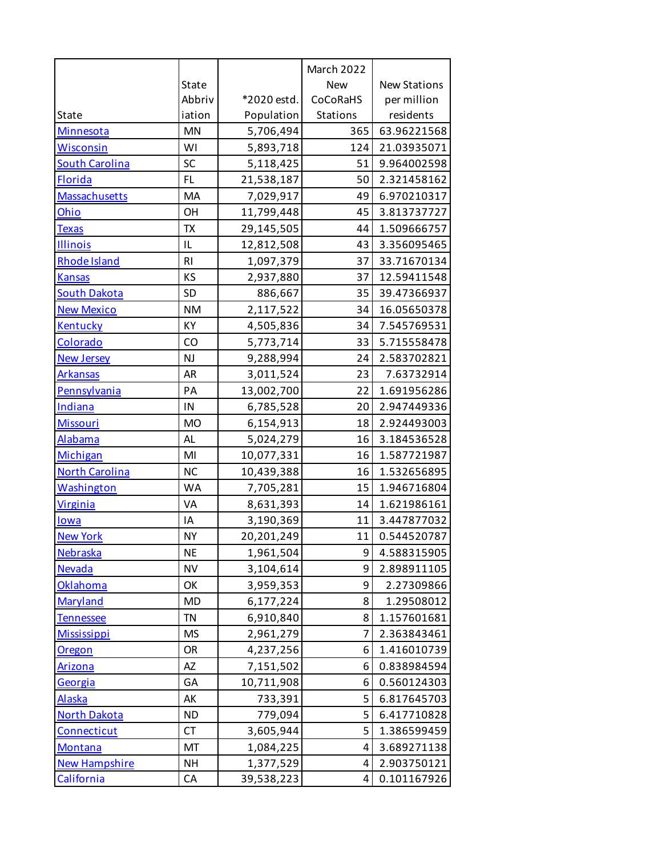|                       |                |             | March 2022 |                     |
|-----------------------|----------------|-------------|------------|---------------------|
|                       | <b>State</b>   |             | <b>New</b> | <b>New Stations</b> |
|                       | Abbriv         | *2020 estd. | CoCoRaHS   | per million         |
| State                 | iation         | Population  | Stations   | residents           |
| Minnesota             | <b>MN</b>      | 5,706,494   | 365        | 63.96221568         |
| <b>Wisconsin</b>      | WI             | 5,893,718   | 124        | 21.03935071         |
| <b>South Carolina</b> | SC             | 5,118,425   | 51         | 9.964002598         |
| <b>Florida</b>        | FL.            | 21,538,187  | 50         | 2.321458162         |
| Massachusetts         | MA             | 7,029,917   | 49         | 6.970210317         |
| Ohio                  | OH             | 11,799,448  | 45         | 3.813737727         |
| <b>Texas</b>          | TX             | 29,145,505  | 44         | 1.509666757         |
| Illinois              | IL             | 12,812,508  | 43         | 3.356095465         |
| Rhode Island          | R <sub>l</sub> | 1,097,379   | 37         | 33.71670134         |
| <b>Kansas</b>         | KS             | 2,937,880   | 37         | 12.59411548         |
| <b>South Dakota</b>   | <b>SD</b>      | 886,667     | 35         | 39.47366937         |
| <b>New Mexico</b>     | <b>NM</b>      | 2,117,522   | 34         | 16.05650378         |
| Kentucky              | КY             | 4,505,836   | 34         | 7.545769531         |
| Colorado              | CO             | 5,773,714   | 33         | 5.715558478         |
| <b>New Jersey</b>     | <b>NJ</b>      | 9,288,994   | 24         | 2.583702821         |
| <b>Arkansas</b>       | AR             | 3,011,524   | 23         | 7.63732914          |
| Pennsylvania          | PA             | 13,002,700  | 22         | 1.691956286         |
| <b>Indiana</b>        | IN             | 6,785,528   | 20         | 2.947449336         |
| <b>Missouri</b>       | <b>MO</b>      | 6,154,913   | 18         | 2.924493003         |
| Alabama               | AL             | 5,024,279   | 16         | 3.184536528         |
| Michigan              | MI             | 10,077,331  | 16         | 1.587721987         |
| <b>North Carolina</b> | <b>NC</b>      | 10,439,388  | 16         | 1.532656895         |
| Washington            | <b>WA</b>      | 7,705,281   | 15         | 1.946716804         |
| <b>Virginia</b>       | VA             | 8,631,393   | 14         | 1.621986161         |
| lowa                  | ΙA             | 3,190,369   | 11         | 3.447877032         |
| <b>New York</b>       | <b>NY</b>      | 20,201,249  | 11         | 0.544520787         |
| Nebraska              | <b>NE</b>      | 1,961,504   | 9          | 4.588315905         |
| <b>Nevada</b>         | <b>NV</b>      | 3,104,614   | 9          | 2.898911105         |
| Oklahoma              | OK             | 3,959,353   | 9          | 2.27309866          |
| Maryland              | <b>MD</b>      | 6,177,224   | 8          | 1.29508012          |
| <b>Tennessee</b>      | TN             | 6,910,840   | 8          | 1.157601681         |
| <b>Mississippi</b>    | <b>MS</b>      | 2,961,279   | 7          | 2.363843461         |
| <b>Oregon</b>         | OR             | 4,237,256   | 6          | 1.416010739         |
| <b>Arizona</b>        | AZ             | 7,151,502   | 6          | 0.838984594         |
| Georgia               | GA             | 10,711,908  | 6          | 0.560124303         |
| <b>Alaska</b>         | АK             | 733,391     | 5          | 6.817645703         |
| <b>North Dakota</b>   | <b>ND</b>      | 779,094     | 5          | 6.417710828         |
| Connecticut           | <b>CT</b>      | 3,605,944   | 5          | 1.386599459         |
| <b>Montana</b>        | MT             | 1,084,225   | 4          | 3.689271138         |
| <b>New Hampshire</b>  | <b>NH</b>      | 1,377,529   | 4          | 2.903750121         |
| California            | CA             | 39,538,223  | 4          | 0.101167926         |